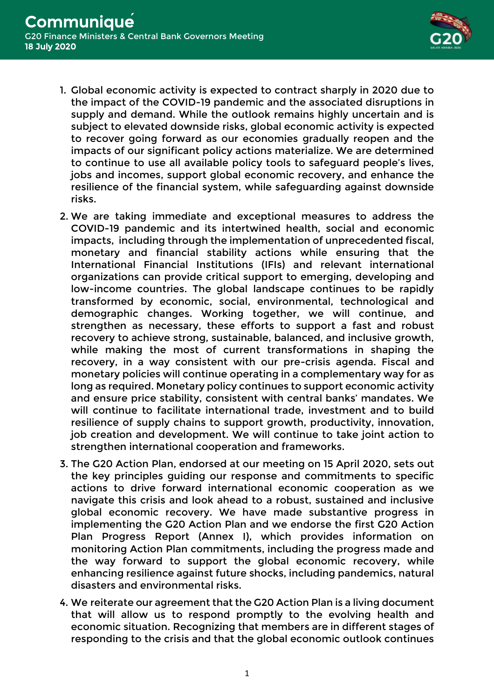

- 1. Global economic activity is expected to contract sharply in 2020 due to the impact of the COVID-19 pandemic and the associated disruptions in supply and demand. While the outlook remains highly uncertain and is subject to elevated downside risks, global economic activity is expected to recover going forward as our economies gradually reopen and the impacts of our significant policy actions materialize. We are determined to continue to use all available policy tools to safeguard people's lives, jobs and incomes, support global economic recovery, and enhance the resilience of the financial system, while safeguarding against downside risks.
- 2. We are taking immediate and exceptional measures to address the COVID-19 pandemic and its intertwined health, social and economic impacts, including through the implementation of unprecedented fiscal, monetary and financial stability actions while ensuring that the International Financial Institutions (IFIs) and relevant international organizations can provide critical support to emerging, developing and low-income countries. The global landscape continues to be rapidly transformed by economic, social, environmental, technological and demographic changes. Working together, we will continue, and strengthen as necessary, these efforts to support a fast and robust recovery to achieve strong, sustainable, balanced, and inclusive growth, while making the most of current transformations in shaping the recovery, in a way consistent with our pre-crisis agenda. Fiscal and monetary policies will continue operating in a complementary way for as long as required. Monetary policy continues to support economic activity and ensure price stability, consistent with central banks' mandates. We will continue to facilitate international trade, investment and to build resilience of supply chains to support growth, productivity, innovation, job creation and development. We will continue to take joint action to strengthen international cooperation and frameworks.
- 3. The G20 Action Plan, endorsed at our meeting on 15 April 2020, sets out the key principles guiding our response and commitments to specific actions to drive forward international economic cooperation as we navigate this crisis and look ahead to a robust, sustained and inclusive global economic recovery. We have made substantive progress in implementing the G20 Action Plan and we endorse the first G20 Action Plan Progress Report (Annex I), which provides information on monitoring Action Plan commitments, including the progress made and the way forward to support the global economic recovery, while enhancing resilience against future shocks, including pandemics, natural disasters and environmental risks.
- 4. We reiterate our agreement that the G20 Action Plan is a living document that will allow us to respond promptly to the evolving health and economic situation. Recognizing that members are in different stages of responding to the crisis and that the global economic outlook continues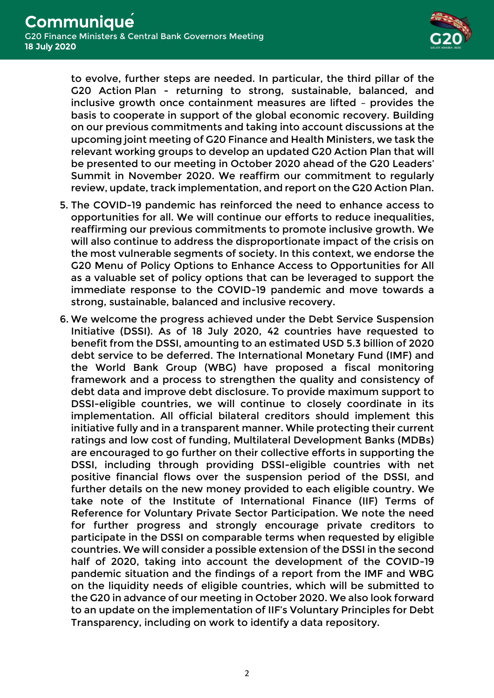

to evolve, further steps are needed. In particular, the third pillar of the G20 Action Plan - returning to strong, sustainable, balanced, and inclusive growth once containment measures are lifted – provides the basis to cooperate in support of the global economic recovery. Building on our previous commitments and taking into account discussions at the upcoming joint meeting of G20 Finance and Health Ministers, we task the relevant working groups to develop an updated G20 Action Plan that will be presented to our meeting in October 2020 ahead of the G20 Leaders' Summit in November 2020. We reaffirm our commitment to regularly review, update, track implementation, and report on the G20 Action Plan.

- 5. The COVID-19 pandemic has reinforced the need to enhance access to opportunities for all. We will continue our efforts to reduce inequalities, reaffirming our previous commitments to promote inclusive growth. We will also continue to address the disproportionate impact of the crisis on the most vulnerable segments of society. In this context, we endorse the G20 Menu of Policy Options to Enhance Access to Opportunities for All as a valuable set of policy options that can be leveraged to support the immediate response to the COVID-19 pandemic and move towards a strong, sustainable, balanced and inclusive recovery.
- 6. We welcome the progress achieved under the Debt Service Suspension Initiative (DSSI). As of 18 July 2020, 42 countries have requested to benefit from the DSSI, amounting to an estimated USD 5.3 billion of 2020 debt service to be deferred. The International Monetary Fund (IMF) and the World Bank Group (WBG) have proposed a fiscal monitoring framework and a process to strengthen the quality and consistency of debt data and improve debt disclosure. To provide maximum support to DSSI-eligible countries, we will continue to closely coordinate in its implementation. All official bilateral creditors should implement this initiative fully and in a transparent manner. While protecting their current ratings and low cost of funding, Multilateral Development Banks (MDBs) are encouraged to go further on their collective efforts in supporting the DSSI, including through providing DSSI-eligible countries with net positive financial flows over the suspension period of the DSSI, and further details on the new money provided to each eligible country. We take note of the Institute of International Finance (IIF) Terms of Reference for Voluntary Private Sector Participation. We note the need for further progress and strongly encourage private creditors to participate in the DSSI on comparable terms when requested by eligible countries. We will consider a possible extension of the DSSI in the second half of 2020, taking into account the development of the COVID-19 pandemic situation and the findings of a report from the IMF and WBG on the liquidity needs of eligible countries, which will be submitted to the G20 in advance of our meeting in October 2020. We also look forward to an update on the implementation of IIF's Voluntary Principles for Debt Transparency, including on work to identify a data repository.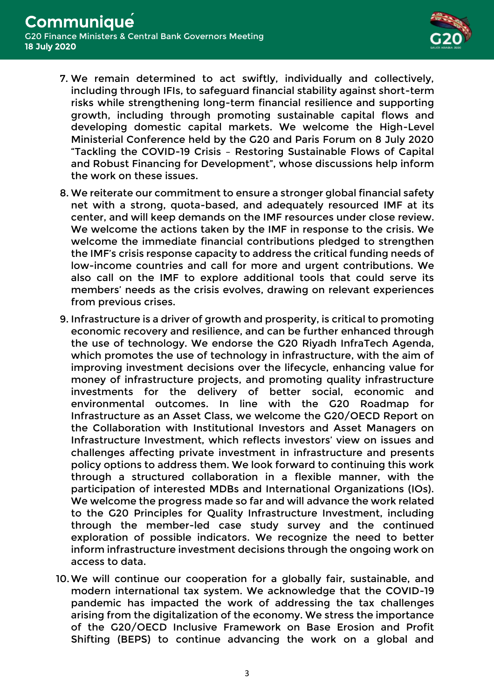

- 7. We remain determined to act swiftly, individually and collectively, including through IFIs, to safeguard financial stability against short-term risks while strengthening long-term financial resilience and supporting growth, including through promoting sustainable capital flows and developing domestic capital markets. We welcome the High-Level Ministerial Conference held by the G20 and Paris Forum on 8 July 2020 "Tackling the COVID-19 Crisis – Restoring Sustainable Flows of Capital and Robust Financing for Development", whose discussions help inform the work on these issues.
- 8. We reiterate our commitment to ensure a stronger global financial safety net with a strong, quota-based, and adequately resourced IMF at its center, and will keep demands on the IMF resources under close review. We welcome the actions taken by the IMF in response to the crisis. We welcome the immediate financial contributions pledged to strengthen the IMF's crisis response capacity to address the critical funding needs of low-income countries and call for more and urgent contributions. We also call on the IMF to explore additional tools that could serve its members' needs as the crisis evolves, drawing on relevant experiences from previous crises.
- 9. Infrastructure is a driver of growth and prosperity, is critical to promoting economic recovery and resilience, and can be further enhanced through the use of technology. We endorse the G20 Riyadh InfraTech Agenda, which promotes the use of technology in infrastructure, with the aim of improving investment decisions over the lifecycle, enhancing value for money of infrastructure projects, and promoting quality infrastructure investments for the delivery of better social, economic and environmental outcomes. In line with the G20 Roadmap for Infrastructure as an Asset Class, we welcome the G20/OECD Report on the Collaboration with Institutional Investors and Asset Managers on Infrastructure Investment, which reflects investors' view on issues and challenges affecting private investment in infrastructure and presents policy options to address them. We look forward to continuing this work through a structured collaboration in a flexible manner, with the participation of interested MDBs and International Organizations (IOs). We welcome the progress made so far and will advance the work related to the G20 Principles for Quality Infrastructure Investment, including through the member-led case study survey and the continued exploration of possible indicators. We recognize the need to better inform infrastructure investment decisions through the ongoing work on access to data.
- 10.We will continue our cooperation for a globally fair, sustainable, and modern international tax system. We acknowledge that the COVID-19 pandemic has impacted the work of addressing the tax challenges arising from the digitalization of the economy. We stress the importance of the G20/OECD Inclusive Framework on Base Erosion and Profit Shifting (BEPS) to continue advancing the work on a global and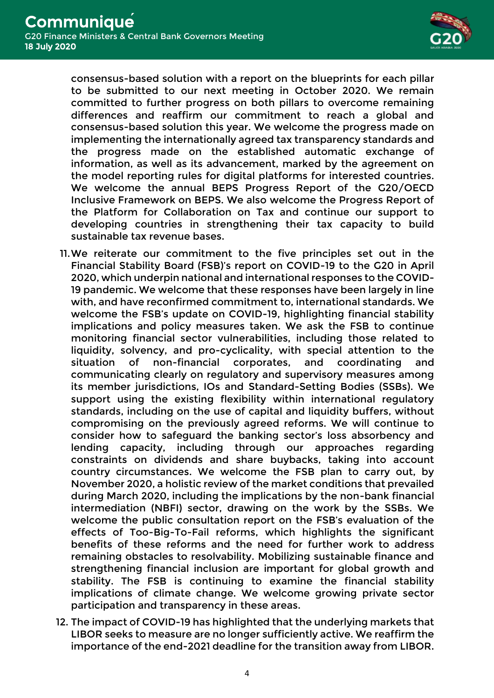

consensus-based solution with a report on the blueprints for each pillar to be submitted to our next meeting in October 2020. We remain committed to further progress on both pillars to overcome remaining differences and reaffirm our commitment to reach a global and consensus-based solution this year. We welcome the progress made on implementing the internationally agreed tax transparency standards and the progress made on the established automatic exchange of information, as well as its advancement, marked by the agreement on the model reporting rules for digital platforms for interested countries. We welcome the annual BEPS Progress Report of the G20/OECD Inclusive Framework on BEPS. We also welcome the Progress Report of the Platform for Collaboration on Tax and continue our support to developing countries in strengthening their tax capacity to build sustainable tax revenue bases.

- 11.We reiterate our commitment to the five principles set out in the Financial Stability Board (FSB)'s report on COVID-19 to the G20 in April 2020, which underpin national and international responses to the COVID-19 pandemic. We welcome that these responses have been largely in line with, and have reconfirmed commitment to, international standards. We welcome the FSB's update on COVID-19, highlighting financial stability implications and policy measures taken. We ask the FSB to continue monitoring financial sector vulnerabilities, including those related to liquidity, solvency, and pro-cyclicality, with special attention to the situation of non-financial corporates, and coordinating and communicating clearly on regulatory and supervisory measures among its member jurisdictions, IOs and Standard-Setting Bodies (SSBs). We support using the existing flexibility within international regulatory standards, including on the use of capital and liquidity buffers, without compromising on the previously agreed reforms. We will continue to consider how to safeguard the banking sector's loss absorbency and lending capacity, including through our approaches regarding constraints on dividends and share buybacks, taking into account country circumstances. We welcome the FSB plan to carry out, by November 2020, a holistic review of the market conditions that prevailed during March 2020, including the implications by the non-bank financial intermediation (NBFI) sector, drawing on the work by the SSBs. We welcome the public consultation report on the FSB's evaluation of the effects of Too-Big-To-Fail reforms, which highlights the significant benefits of these reforms and the need for further work to address remaining obstacles to resolvability. Mobilizing sustainable finance and strengthening financial inclusion are important for global growth and stability. The FSB is continuing to examine the financial stability implications of climate change. We welcome growing private sector participation and transparency in these areas.
- 12. The impact of COVID-19 has highlighted that the underlying markets that LIBOR seeks to measure are no longer sufficiently active. We reaffirm the importance of the end-2021 deadline for the transition away from LIBOR.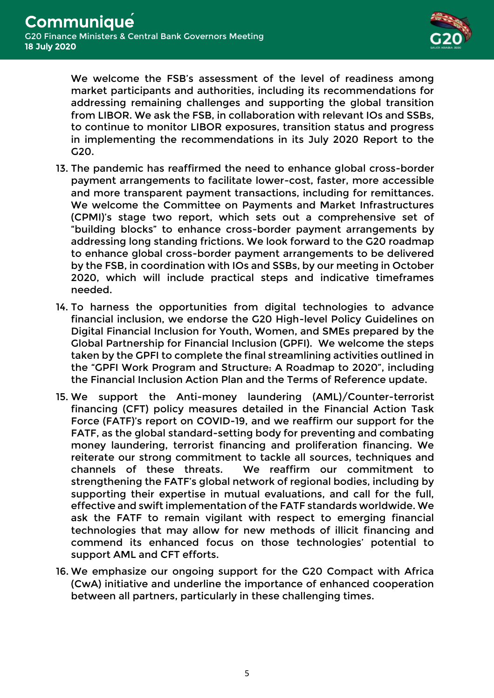

We welcome the FSB's assessment of the level of readiness among market participants and authorities, including its recommendations for addressing remaining challenges and supporting the global transition from LIBOR. We ask the FSB, in collaboration with relevant IOs and SSBs, to continue to monitor LIBOR exposures, transition status and progress in implementing the recommendations in its July 2020 Report to the G20.

- 13. The pandemic has reaffirmed the need to enhance global cross-border payment arrangements to facilitate lower-cost, faster, more accessible and more transparent payment transactions, including for remittances. We welcome the Committee on Payments and Market Infrastructures (CPMI)'s stage two report, which sets out a comprehensive set of "building blocks" to enhance cross-border payment arrangements by addressing long standing frictions. We look forward to the G20 roadmap to enhance global cross-border payment arrangements to be delivered by the FSB, in coordination with IOs and SSBs, by our meeting in October 2020, which will include practical steps and indicative timeframes needed.
- 14. To harness the opportunities from digital technologies to advance financial inclusion, we endorse the G20 High-level Policy Guidelines on Digital Financial Inclusion for Youth, Women, and SMEs prepared by the Global Partnership for Financial Inclusion (GPFI). We welcome the steps taken by the GPFI to complete the final streamlining activities outlined in the "GPFI Work Program and Structure: A Roadmap to 2020", including the Financial Inclusion Action Plan and the Terms of Reference update.
- 15. We support the Anti-money laundering (AML)/Counter-terrorist financing (CFT) policy measures detailed in the Financial Action Task Force (FATF)'s report on COVID-19, and we reaffirm our support for the FATF, as the global standard-setting body for preventing and combating money laundering, terrorist financing and proliferation financing. We reiterate our strong commitment to tackle all sources, techniques and channels of these threats. We reaffirm our commitment to strengthening the FATF's global network of regional bodies, including by supporting their expertise in mutual evaluations, and call for the full, effective and swift implementation of the FATF standards worldwide. We ask the FATF to remain vigilant with respect to emerging financial technologies that may allow for new methods of illicit financing and commend its enhanced focus on those technologies' potential to support AML and CFT efforts.
- 16. We emphasize our ongoing support for the G20 Compact with Africa (CwA) initiative and underline the importance of enhanced cooperation between all partners, particularly in these challenging times.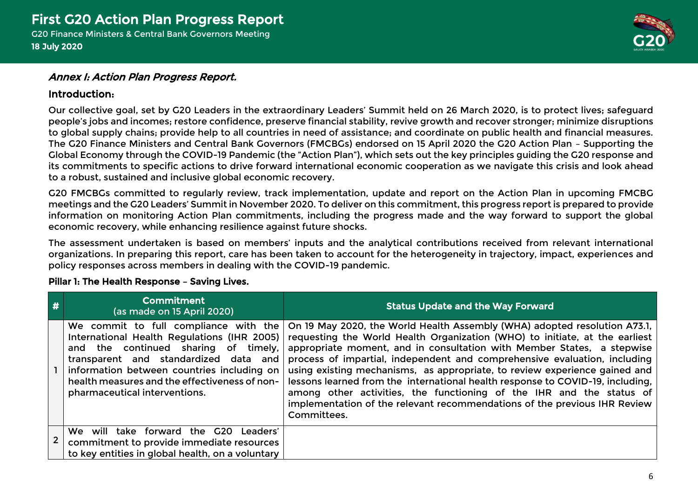

### Annex I: Action Plan Progress Report.

### Introduction:

Our collective goal, set by G20 Leaders in the extraordinary Leaders' Summit held on 26 March 2020, is to protect lives; safeguard people's jobs and incomes; restore confidence, preserve financial stability, revive growth and recover stronger; minimize disruptions to global supply chains; provide help to all countries in need of assistance; and coordinate on public health and financial measures. The G20 Finance Ministers and Central Bank Governors (FMCBGs) endorsed on 15 April 2020 the G20 Action Plan – Supporting the Global Economy through the COVID-19 Pandemic (the "Action Plan"), which sets out the key principles guiding the G20 response and its commitments to specific actions to drive forward international economic cooperation as we navigate this crisis and look ahead to a robust, sustained and inclusive global economic recovery.

G20 FMCBGs committed to regularly review, track implementation, update and report on the Action Plan in upcoming FMCBG meetings and the G20 Leaders' Summit in November 2020. To deliver on this commitment, this progress report is prepared to provide information on monitoring Action Plan commitments, including the progress made and the way forward to support the global economic recovery, while enhancing resilience against future shocks.

The assessment undertaken is based on members' inputs and the analytical contributions received from relevant international organizations. In preparing this report, care has been taken to account for the heterogeneity in trajectory, impact, experiences and policy responses across members in dealing with the COVID-19 pandemic.

### Pillar 1: The Health Response – Saving Lives.

| $\#$         | <b>Commitment</b><br>(as made on 15 April 2020)                                                                                                                                                               | <b>Status Update and the Way Forward</b>                                                                                                                                                                                                                                                                                                                                                                                                                                                                                                                                                                                                                                                                                                  |
|--------------|---------------------------------------------------------------------------------------------------------------------------------------------------------------------------------------------------------------|-------------------------------------------------------------------------------------------------------------------------------------------------------------------------------------------------------------------------------------------------------------------------------------------------------------------------------------------------------------------------------------------------------------------------------------------------------------------------------------------------------------------------------------------------------------------------------------------------------------------------------------------------------------------------------------------------------------------------------------------|
|              | and the continued sharing of timely,<br>transparent and standardized data and<br>information between countries including on<br>health measures and the effectiveness of non-<br>pharmaceutical interventions. | We commit to full compliance with the   On 19 May 2020, the World Health Assembly (WHA) adopted resolution A73.1,  <br>International Health Regulations (IHR 2005) requesting the World Health Organization (WHO) to initiate, at the earliest<br>appropriate moment, and in consultation with Member States, a stepwise<br>process of impartial, independent and comprehensive evaluation, including<br>using existing mechanisms, as appropriate, to review experience gained and<br>lessons learned from the international health response to COVID-19, including,<br>among other activities, the functioning of the IHR and the status of<br>implementation of the relevant recommendations of the previous IHR Review<br>Committees. |
| $\mathbf{2}$ | We will take forward the G20 Leaders'<br>commitment to provide immediate resources<br>to key entities in global health, on a voluntary                                                                        |                                                                                                                                                                                                                                                                                                                                                                                                                                                                                                                                                                                                                                                                                                                                           |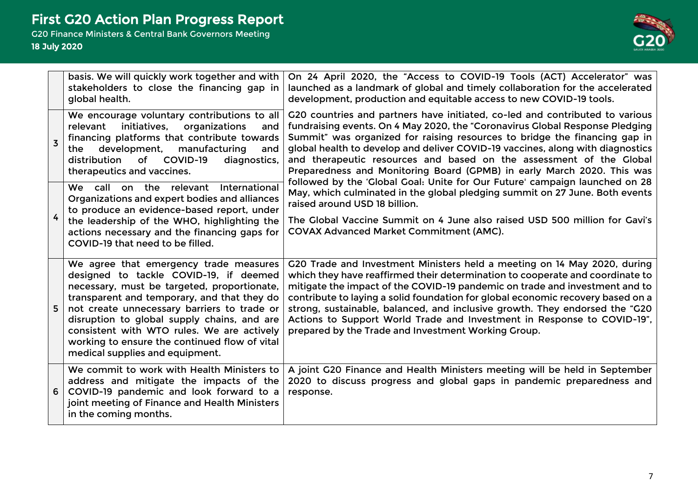

|                | basis. We will quickly work together and with<br>stakeholders to close the financing gap in<br>global health.                                                                                                                                                                                                                                                                                                  | On 24 April 2020, the "Access to COVID-19 Tools (ACT) Accelerator" was<br>launched as a landmark of global and timely collaboration for the accelerated<br>development, production and equitable access to new COVID-19 tools.                                                                                                                                                                                                                                                                                                               |
|----------------|----------------------------------------------------------------------------------------------------------------------------------------------------------------------------------------------------------------------------------------------------------------------------------------------------------------------------------------------------------------------------------------------------------------|----------------------------------------------------------------------------------------------------------------------------------------------------------------------------------------------------------------------------------------------------------------------------------------------------------------------------------------------------------------------------------------------------------------------------------------------------------------------------------------------------------------------------------------------|
| $\overline{3}$ | We encourage voluntary contributions to all<br>initiatives,<br>organizations<br>relevant<br>and<br>financing platforms that contribute towards<br>manufacturing<br>development,<br>the<br>and<br>of COVID-19<br>distribution<br>diagnostics,<br>therapeutics and vaccines.                                                                                                                                     | G20 countries and partners have initiated, co-led and contributed to various<br>fundraising events. On 4 May 2020, the "Coronavirus Global Response Pledging<br>Summit" was organized for raising resources to bridge the financing gap in<br>global health to develop and deliver COVID-19 vaccines, along with diagnostics<br>and therapeutic resources and based on the assessment of the Global<br>Preparedness and Monitoring Board (GPMB) in early March 2020. This was                                                                |
| $\overline{4}$ | We call on the relevant International<br>Organizations and expert bodies and alliances<br>to produce an evidence-based report, under<br>the leadership of the WHO, highlighting the<br>actions necessary and the financing gaps for<br>COVID-19 that need to be filled.                                                                                                                                        | followed by the 'Global Goal: Unite for Our Future' campaign launched on 28<br>May, which culminated in the global pledging summit on 27 June. Both events<br>raised around USD 18 billion.<br>The Global Vaccine Summit on 4 June also raised USD 500 million for Gavi's<br><b>COVAX Advanced Market Commitment (AMC).</b>                                                                                                                                                                                                                  |
|                | We agree that emergency trade measures<br>designed to tackle COVID-19, if deemed<br>necessary, must be targeted, proportionate,<br>transparent and temporary, and that they do<br>not create unnecessary barriers to trade or<br>disruption to global supply chains, and are<br>consistent with WTO rules. We are actively<br>working to ensure the continued flow of vital<br>medical supplies and equipment. | G20 Trade and Investment Ministers held a meeting on 14 May 2020, during<br>which they have reaffirmed their determination to cooperate and coordinate to<br>mitigate the impact of the COVID-19 pandemic on trade and investment and to<br>contribute to laying a solid foundation for global economic recovery based on a<br>strong, sustainable, balanced, and inclusive growth. They endorsed the "G20<br>Actions to Support World Trade and Investment in Response to COVID-19",<br>prepared by the Trade and Investment Working Group. |
| 6              | We commit to work with Health Ministers to<br>address and mitigate the impacts of the<br>COVID-19 pandemic and look forward to a<br>joint meeting of Finance and Health Ministers<br>in the coming months.                                                                                                                                                                                                     | A joint G20 Finance and Health Ministers meeting will be held in September<br>2020 to discuss progress and global gaps in pandemic preparedness and<br>response.                                                                                                                                                                                                                                                                                                                                                                             |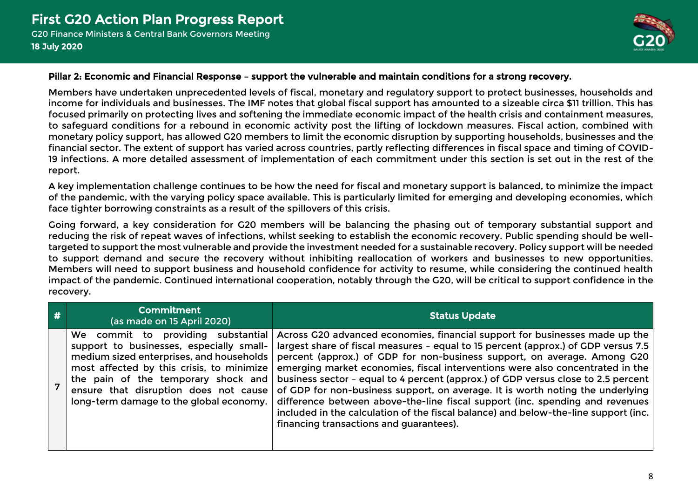

#### Pillar 2: Economic and Financial Response – support the vulnerable and maintain conditions for a strong recovery.

Members have undertaken unprecedented levels of fiscal, monetary and regulatory support to protect businesses, households and income for individuals and businesses. The IMF notes that global fiscal support has amounted to a sizeable circa \$11 trillion. This has focused primarily on protecting lives and softening the immediate economic impact of the health crisis and containment measures, to safeguard conditions for a rebound in economic activity post the lifting of lockdown measures. Fiscal action, combined with monetary policy support, has allowed G20 members to limit the economic disruption by supporting households, businesses and the financial sector. The extent of support has varied across countries, partly reflecting differences in fiscal space and timing of COVID-19 infections. A more detailed assessment of implementation of each commitment under this section is set out in the rest of the report.

A key implementation challenge continues to be how the need for fiscal and monetary support is balanced, to minimize the impact of the pandemic, with the varying policy space available. This is particularly limited for emerging and developing economies, which face tighter borrowing constraints as a result of the spillovers of this crisis.

Going forward, a key consideration for G20 members will be balancing the phasing out of temporary substantial support and reducing the risk of repeat waves of infections, whilst seeking to establish the economic recovery. Public spending should be welltargeted to support the most vulnerable and provide the investment needed for a sustainable recovery. Policy support will be needed to support demand and secure the recovery without inhibiting reallocation of workers and businesses to new opportunities. Members will need to support business and household confidence for activity to resume, while considering the continued health impact of the pandemic. Continued international cooperation, notably through the G20, will be critical to support confidence in the recovery.

| # | <b>Commitment</b><br>(as made on 15 April 2020)                                                                                                                                                                                                                                                       | <b>Status Update</b>                                                                                                                                                                                                                                                                                                                                                                                                                                                                                                                                                                                                                                                                                                    |
|---|-------------------------------------------------------------------------------------------------------------------------------------------------------------------------------------------------------------------------------------------------------------------------------------------------------|-------------------------------------------------------------------------------------------------------------------------------------------------------------------------------------------------------------------------------------------------------------------------------------------------------------------------------------------------------------------------------------------------------------------------------------------------------------------------------------------------------------------------------------------------------------------------------------------------------------------------------------------------------------------------------------------------------------------------|
|   | providing substantial<br>We commit to<br>support to businesses, especially small-<br>medium sized enterprises, and households<br>most affected by this crisis, to minimize<br>the pain of the temporary shock and<br>ensure that disruption does not cause<br>long-term damage to the global economy. | Across G20 advanced economies, financial support for businesses made up the<br>largest share of fiscal measures - equal to 15 percent (approx.) of GDP versus 7.5<br>percent (approx.) of GDP for non-business support, on average. Among G20<br>emerging market economies, fiscal interventions were also concentrated in the<br>business sector - equal to 4 percent (approx.) of GDP versus close to 2.5 percent<br>of GDP for non-business support, on average. It is worth noting the underlying<br>difference between above-the-line fiscal support (inc. spending and revenues<br>included in the calculation of the fiscal balance) and below-the-line support (inc.<br>financing transactions and guarantees). |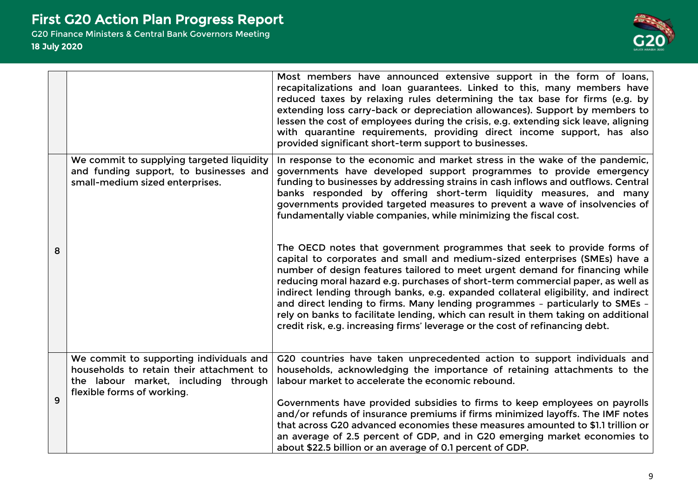

|   |                                                                                                                                                           | Most members have announced extensive support in the form of loans,<br>recapitalizations and loan guarantees. Linked to this, many members have<br>reduced taxes by relaxing rules determining the tax base for firms (e.g. by<br>extending loss carry-back or depreciation allowances). Support by members to<br>lessen the cost of employees during the crisis, e.g. extending sick leave, aligning<br>with quarantine requirements, providing direct income support, has also<br>provided significant short-term support to businesses.                                                                                                                             |
|---|-----------------------------------------------------------------------------------------------------------------------------------------------------------|------------------------------------------------------------------------------------------------------------------------------------------------------------------------------------------------------------------------------------------------------------------------------------------------------------------------------------------------------------------------------------------------------------------------------------------------------------------------------------------------------------------------------------------------------------------------------------------------------------------------------------------------------------------------|
|   | We commit to supplying targeted liquidity<br>and funding support, to businesses and<br>small-medium sized enterprises.                                    | In response to the economic and market stress in the wake of the pandemic,<br>governments have developed support programmes to provide emergency<br>funding to businesses by addressing strains in cash inflows and outflows. Central<br>banks responded by offering short-term liquidity measures, and many<br>governments provided targeted measures to prevent a wave of insolvencies of<br>fundamentally viable companies, while minimizing the fiscal cost.                                                                                                                                                                                                       |
| 8 |                                                                                                                                                           | The OECD notes that government programmes that seek to provide forms of<br>capital to corporates and small and medium-sized enterprises (SMEs) have a<br>number of design features tailored to meet urgent demand for financing while<br>reducing moral hazard e.g. purchases of short-term commercial paper, as well as<br>indirect lending through banks, e.g. expanded collateral eligibility, and indirect<br>and direct lending to firms. Many lending programmes - particularly to SMEs -<br>rely on banks to facilitate lending, which can result in them taking on additional<br>credit risk, e.g. increasing firms' leverage or the cost of refinancing debt. |
|   | We commit to supporting individuals and<br>households to retain their attachment to<br>the labour market, including through<br>flexible forms of working. | G20 countries have taken unprecedented action to support individuals and<br>households, acknowledging the importance of retaining attachments to the<br>labour market to accelerate the economic rebound.                                                                                                                                                                                                                                                                                                                                                                                                                                                              |
| 9 |                                                                                                                                                           | Governments have provided subsidies to firms to keep employees on payrolls<br>and/or refunds of insurance premiums if firms minimized layoffs. The IMF notes<br>that across G20 advanced economies these measures amounted to \$1.1 trillion or<br>an average of 2.5 percent of GDP, and in G20 emerging market economies to<br>about \$22.5 billion or an average of 0.1 percent of GDP.                                                                                                                                                                                                                                                                              |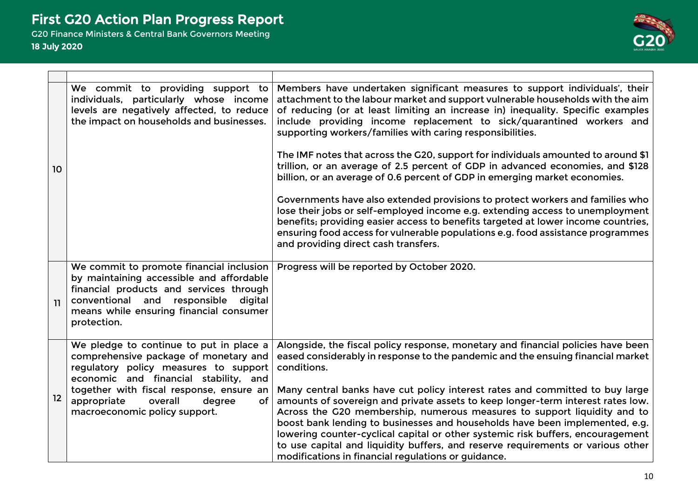

|                   | We commit to providing support to<br>individuals, particularly whose income<br>levels are negatively affected, to reduce<br>the impact on households and businesses.                                                              | Members have undertaken significant measures to support individuals', their<br>attachment to the labour market and support vulnerable households with the aim<br>of reducing (or at least limiting an increase in) inequality. Specific examples<br>include providing income replacement to sick/quarantined workers and<br>supporting workers/families with caring responsibilities.                                                                                                                                                                   |
|-------------------|-----------------------------------------------------------------------------------------------------------------------------------------------------------------------------------------------------------------------------------|---------------------------------------------------------------------------------------------------------------------------------------------------------------------------------------------------------------------------------------------------------------------------------------------------------------------------------------------------------------------------------------------------------------------------------------------------------------------------------------------------------------------------------------------------------|
| 10                |                                                                                                                                                                                                                                   | The IMF notes that across the G20, support for individuals amounted to around \$1<br>trillion, or an average of 2.5 percent of GDP in advanced economies, and \$128<br>billion, or an average of 0.6 percent of GDP in emerging market economies.                                                                                                                                                                                                                                                                                                       |
|                   |                                                                                                                                                                                                                                   | Governments have also extended provisions to protect workers and families who<br>lose their jobs or self-employed income e.g. extending access to unemployment<br>benefits; providing easier access to benefits targeted at lower income countries,<br>ensuring food access for vulnerable populations e.g. food assistance programmes<br>and providing direct cash transfers.                                                                                                                                                                          |
| 11                | We commit to promote financial inclusion<br>by maintaining accessible and affordable<br>financial products and services through<br>conventional and responsible digital<br>means while ensuring financial consumer<br>protection. | Progress will be reported by October 2020.                                                                                                                                                                                                                                                                                                                                                                                                                                                                                                              |
|                   | We pledge to continue to put in place a<br>comprehensive package of monetary and<br>regulatory policy measures to support<br>economic and financial stability, and                                                                | Alongside, the fiscal policy response, monetary and financial policies have been<br>eased considerably in response to the pandemic and the ensuing financial market<br>conditions.                                                                                                                                                                                                                                                                                                                                                                      |
| $12 \overline{ }$ | together with fiscal response, ensure an<br>of<br>appropriate<br>overall<br>degree<br>macroeconomic policy support.                                                                                                               | Many central banks have cut policy interest rates and committed to buy large<br>amounts of sovereign and private assets to keep longer-term interest rates low.<br>Across the G20 membership, numerous measures to support liquidity and to<br>boost bank lending to businesses and households have been implemented, e.g.<br>lowering counter-cyclical capital or other systemic risk buffers, encouragement<br>to use capital and liquidity buffers, and reserve requirements or various other<br>modifications in financial regulations or guidance. |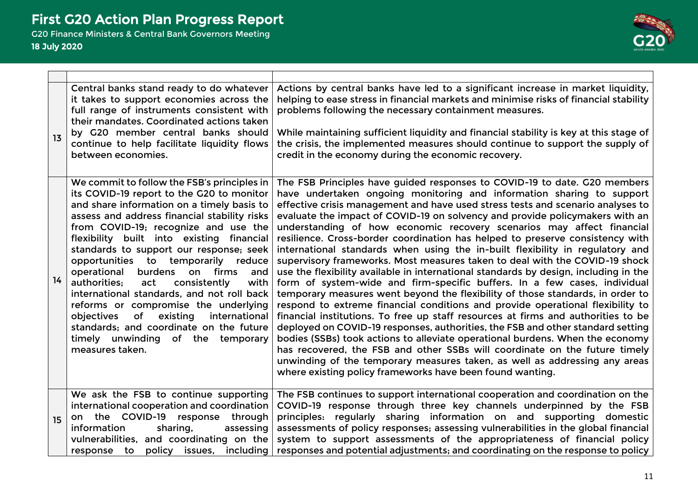

| 13 | Central banks stand ready to do whatever<br>it takes to support economies across the<br>full range of instruments consistent with<br>their mandates. Coordinated actions taken<br>by G20 member central banks should<br>continue to help facilitate liquidity flows<br>between economies.                                                                                                                                                                                                                                                                                                                                                                                                        | Actions by central banks have led to a significant increase in market liquidity,<br>helping to ease stress in financial markets and minimise risks of financial stability<br>problems following the necessary containment measures.<br>While maintaining sufficient liquidity and financial stability is key at this stage of<br>the crisis, the implemented measures should continue to support the supply of<br>credit in the economy during the economic recovery.                                                                                                                                                                                                                                                                                                                                                                                                                                                                                                                                                                                                                                                                                                                                                                                                                                                                                                                                                                                                      |
|----|--------------------------------------------------------------------------------------------------------------------------------------------------------------------------------------------------------------------------------------------------------------------------------------------------------------------------------------------------------------------------------------------------------------------------------------------------------------------------------------------------------------------------------------------------------------------------------------------------------------------------------------------------------------------------------------------------|----------------------------------------------------------------------------------------------------------------------------------------------------------------------------------------------------------------------------------------------------------------------------------------------------------------------------------------------------------------------------------------------------------------------------------------------------------------------------------------------------------------------------------------------------------------------------------------------------------------------------------------------------------------------------------------------------------------------------------------------------------------------------------------------------------------------------------------------------------------------------------------------------------------------------------------------------------------------------------------------------------------------------------------------------------------------------------------------------------------------------------------------------------------------------------------------------------------------------------------------------------------------------------------------------------------------------------------------------------------------------------------------------------------------------------------------------------------------------|
| 14 | We commit to follow the FSB's principles in<br>its COVID-19 report to the G20 to monitor<br>and share information on a timely basis to<br>assess and address financial stability risks<br>from COVID-19; recognize and use the<br>flexibility built into existing financial<br>standards to support our response; seek<br>opportunities to temporarily reduce<br>operational burdens<br>on firms<br>and<br>authorities;<br>act<br>consistently<br>with<br>international standards, and not roll back<br>reforms or compromise the underlying<br>of<br>existing<br>objectives<br>international<br>standards; and coordinate on the future<br>timely unwinding of the temporary<br>measures taken. | The FSB Principles have guided responses to COVID-19 to date. G20 members<br>have undertaken ongoing monitoring and information sharing to support<br>effective crisis management and have used stress tests and scenario analyses to<br>evaluate the impact of COVID-19 on solvency and provide policymakers with an<br>understanding of how economic recovery scenarios may affect financial<br>resilience. Cross-border coordination has helped to preserve consistency with<br>international standards when using the in-built flexibility in regulatory and<br>supervisory frameworks. Most measures taken to deal with the COVID-19 shock<br>use the flexibility available in international standards by design, including in the<br>form of system-wide and firm-specific buffers. In a few cases, individual<br>temporary measures went beyond the flexibility of those standards, in order to<br>respond to extreme financial conditions and provide operational flexibility to<br>financial institutions. To free up staff resources at firms and authorities to be<br>deployed on COVID-19 responses, authorities, the FSB and other standard setting<br>bodies (SSBs) took actions to alleviate operational burdens. When the economy<br>has recovered, the FSB and other SSBs will coordinate on the future timely<br>unwinding of the temporary measures taken, as well as addressing any areas<br>where existing policy frameworks have been found wanting. |
| 15 | We ask the FSB to continue supporting<br>international cooperation and coordination<br>on the COVID-19 response<br>through<br>information<br>assessing<br>sharing,<br>vulnerabilities, and coordinating on the<br>response to policy issues, including                                                                                                                                                                                                                                                                                                                                                                                                                                           | The FSB continues to support international cooperation and coordination on the<br>COVID-19 response through three key channels underpinned by the FSB<br>principles: regularly sharing information on and supporting domestic<br>assessments of policy responses; assessing vulnerabilities in the global financial<br>system to support assessments of the appropriateness of financial policy<br>responses and potential adjustments; and coordinating on the response to policy                                                                                                                                                                                                                                                                                                                                                                                                                                                                                                                                                                                                                                                                                                                                                                                                                                                                                                                                                                                         |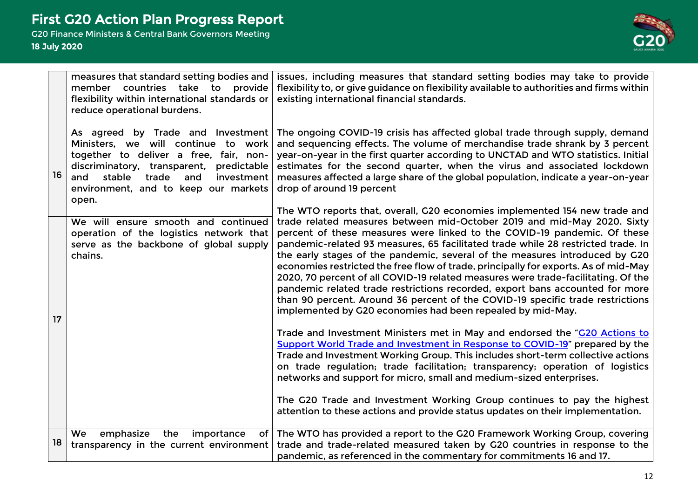

|    | measures that standard setting bodies and                                                                                                                                                                                                                | issues, including measures that standard setting bodies may take to provide                                                                                                                                                                                                                                                                                                                                                                                                                                                                                                                                                                                                                                                                                                                                      |
|----|----------------------------------------------------------------------------------------------------------------------------------------------------------------------------------------------------------------------------------------------------------|------------------------------------------------------------------------------------------------------------------------------------------------------------------------------------------------------------------------------------------------------------------------------------------------------------------------------------------------------------------------------------------------------------------------------------------------------------------------------------------------------------------------------------------------------------------------------------------------------------------------------------------------------------------------------------------------------------------------------------------------------------------------------------------------------------------|
|    | member countries take to provide                                                                                                                                                                                                                         | flexibility to, or give guidance on flexibility available to authorities and firms within                                                                                                                                                                                                                                                                                                                                                                                                                                                                                                                                                                                                                                                                                                                        |
|    | flexibility within international standards or                                                                                                                                                                                                            | existing international financial standards.                                                                                                                                                                                                                                                                                                                                                                                                                                                                                                                                                                                                                                                                                                                                                                      |
|    | reduce operational burdens.                                                                                                                                                                                                                              |                                                                                                                                                                                                                                                                                                                                                                                                                                                                                                                                                                                                                                                                                                                                                                                                                  |
| 16 | As agreed by Trade and Investment<br>Ministers, we will continue to work<br>together to deliver a free, fair, non-<br>discriminatory, transparent,<br>predictable<br>and<br>stable<br>trade<br>investment<br>and<br>environment, and to keep our markets | The ongoing COVID-19 crisis has affected global trade through supply, demand<br>and sequencing effects. The volume of merchandise trade shrank by 3 percent<br>year-on-year in the first quarter according to UNCTAD and WTO statistics. Initial<br>estimates for the second quarter, when the virus and associated lockdown<br>measures affected a large share of the global population, indicate a year-on-year<br>drop of around 19 percent                                                                                                                                                                                                                                                                                                                                                                   |
|    | open.                                                                                                                                                                                                                                                    | The WTO reports that, overall, G20 economies implemented 154 new trade and                                                                                                                                                                                                                                                                                                                                                                                                                                                                                                                                                                                                                                                                                                                                       |
| 17 | We will ensure smooth and continued<br>operation of the logistics network that<br>serve as the backbone of global supply<br>chains.                                                                                                                      | trade related measures between mid-October 2019 and mid-May 2020. Sixty<br>percent of these measures were linked to the COVID-19 pandemic. Of these<br>pandemic-related 93 measures, 65 facilitated trade while 28 restricted trade. In<br>the early stages of the pandemic, several of the measures introduced by G20<br>economies restricted the free flow of trade, principally for exports. As of mid-May<br>2020, 70 percent of all COVID-19 related measures were trade-facilitating. Of the<br>pandemic related trade restrictions recorded, export bans accounted for more<br>than 90 percent. Around 36 percent of the COVID-19 specific trade restrictions<br>implemented by G20 economies had been repealed by mid-May.<br>Trade and Investment Ministers met in May and endorsed the "G20 Actions to |
|    |                                                                                                                                                                                                                                                          | Support World Trade and Investment in Response to COVID-19" prepared by the<br>Trade and Investment Working Group. This includes short-term collective actions<br>on trade regulation; trade facilitation; transparency; operation of logistics<br>networks and support for micro, small and medium-sized enterprises.                                                                                                                                                                                                                                                                                                                                                                                                                                                                                           |
|    |                                                                                                                                                                                                                                                          | The G20 Trade and Investment Working Group continues to pay the highest<br>attention to these actions and provide status updates on their implementation.                                                                                                                                                                                                                                                                                                                                                                                                                                                                                                                                                                                                                                                        |
| 18 | emphasize<br>the<br>importance<br>We<br>transparency in the current environment                                                                                                                                                                          | of The WTO has provided a report to the G20 Framework Working Group, covering<br>trade and trade-related measured taken by G20 countries in response to the<br>pandemic, as referenced in the commentary for commitments 16 and 17.                                                                                                                                                                                                                                                                                                                                                                                                                                                                                                                                                                              |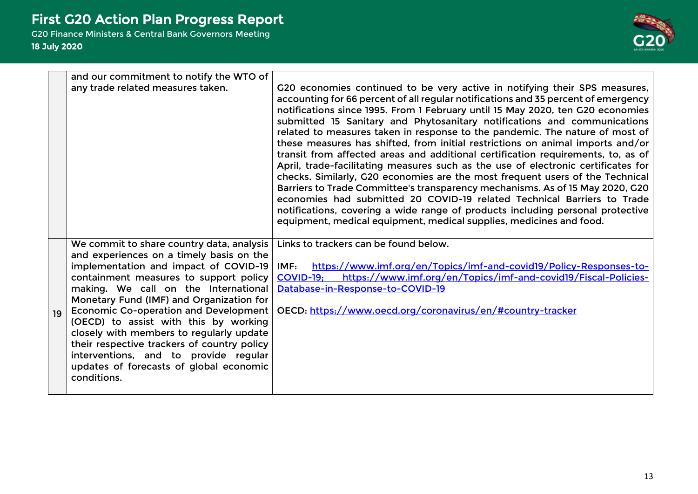

|                 | and our commitment to notify the WTO of                                                                                                                                                                                                                                                                                                                                                                                                                                                                                                             |                                                                                                                                                                                                                                                                                                                                                                                                                                                                                                                                                                                                                                                                                                                                                                                                                                                                                                                                                                                                                                                                                 |
|-----------------|-----------------------------------------------------------------------------------------------------------------------------------------------------------------------------------------------------------------------------------------------------------------------------------------------------------------------------------------------------------------------------------------------------------------------------------------------------------------------------------------------------------------------------------------------------|---------------------------------------------------------------------------------------------------------------------------------------------------------------------------------------------------------------------------------------------------------------------------------------------------------------------------------------------------------------------------------------------------------------------------------------------------------------------------------------------------------------------------------------------------------------------------------------------------------------------------------------------------------------------------------------------------------------------------------------------------------------------------------------------------------------------------------------------------------------------------------------------------------------------------------------------------------------------------------------------------------------------------------------------------------------------------------|
|                 | any trade related measures taken.                                                                                                                                                                                                                                                                                                                                                                                                                                                                                                                   | G20 economies continued to be very active in notifying their SPS measures,<br>accounting for 66 percent of all regular notifications and 35 percent of emergency<br>notifications since 1995. From 1 February until 15 May 2020, ten G20 economies<br>submitted 15 Sanitary and Phytosanitary notifications and communications<br>related to measures taken in response to the pandemic. The nature of most of<br>these measures has shifted, from initial restrictions on animal imports and/or<br>transit from affected areas and additional certification requirements, to, as of<br>April, trade-facilitating measures such as the use of electronic certificates for<br>checks. Similarly, G20 economies are the most frequent users of the Technical<br>Barriers to Trade Committee's transparency mechanisms. As of 15 May 2020, G20<br>economies had submitted 20 COVID-19 related Technical Barriers to Trade<br>notifications, covering a wide range of products including personal protective<br>equipment, medical equipment, medical supplies, medicines and food. |
| 19 <sup>°</sup> | We commit to share country data, analysis<br>and experiences on a timely basis on the<br>implementation and impact of COVID-19<br>containment measures to support policy<br>making. We call on the International<br>Monetary Fund (IMF) and Organization for<br><b>Economic Co-operation and Development</b><br>(OECD) to assist with this by working<br>closely with members to regularly update<br>their respective trackers of country policy<br>interventions, and to provide regular<br>updates of forecasts of global economic<br>conditions. | Links to trackers can be found below.<br>https://www.imf.org/en/Topics/imf-and-covid19/Policy-Responses-to-<br>IMF:<br>https://www.imf.org/en/Topics/imf-and-covid19/Fiscal-Policies-<br><b>COVID-19:</b><br>Database-in-Response-to-COVID-19<br>OECD: https://www.oecd.org/coronavirus/en/#country-tracker                                                                                                                                                                                                                                                                                                                                                                                                                                                                                                                                                                                                                                                                                                                                                                     |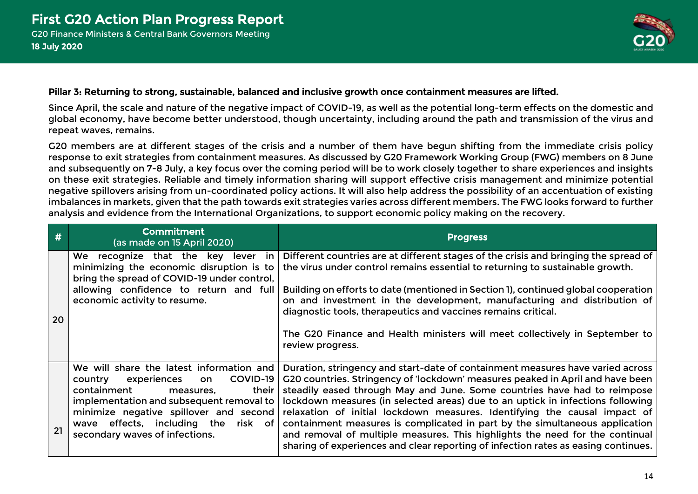

#### Pillar 3: Returning to strong, sustainable, balanced and inclusive growth once containment measures are lifted.

Since April, the scale and nature of the negative impact of COVID-19, as well as the potential long-term effects on the domestic and global economy, have become better understood, though uncertainty, including around the path and transmission of the virus and repeat waves, remains.

G20 members are at different stages of the crisis and a number of them have begun shifting from the immediate crisis policy response to exit strategies from containment measures. As discussed by G20 Framework Working Group (FWG) members on 8 June and subsequently on 7-8 July, a key focus over the coming period will be to work closely together to share experiences and insights on these exit strategies. Reliable and timely information sharing will support effective crisis management and minimize potential negative spillovers arising from un-coordinated policy actions. It will also help address the possibility of an accentuation of existing imbalances in markets, given that the path towards exit strategies varies across different members. The FWG looks forward to further analysis and evidence from the International Organizations, to support economic policy making on the recovery.

| #  | <b>Commitment</b><br>(as made on 15 April 2020)                                                                                                                                                                                                                                             | <b>Progress</b>                                                                                                                                                                                                                                                                                                                                                                                                                                                                                                                                                                                                                                                  |
|----|---------------------------------------------------------------------------------------------------------------------------------------------------------------------------------------------------------------------------------------------------------------------------------------------|------------------------------------------------------------------------------------------------------------------------------------------------------------------------------------------------------------------------------------------------------------------------------------------------------------------------------------------------------------------------------------------------------------------------------------------------------------------------------------------------------------------------------------------------------------------------------------------------------------------------------------------------------------------|
| 20 | We recognize that the key lever in<br>minimizing the economic disruption is to<br>bring the spread of COVID-19 under control,<br>allowing confidence to return and full<br>economic activity to resume.                                                                                     | Different countries are at different stages of the crisis and bringing the spread of<br>the virus under control remains essential to returning to sustainable growth.<br>Building on efforts to date (mentioned in Section 1), continued global cooperation<br>on and investment in the development, manufacturing and distribution of<br>diagnostic tools, therapeutics and vaccines remains critical.<br>The G20 Finance and Health ministers will meet collectively in September to<br>review progress.                                                                                                                                                       |
| 21 | We will share the latest information and<br>COVID-19<br>experiences<br>country<br>on<br>containment<br>their<br>measures.<br>implementation and subsequent removal to<br>minimize negative spillover and second<br>wave effects, including the<br>risk of<br>secondary waves of infections. | Duration, stringency and start-date of containment measures have varied across<br>G20 countries. Stringency of 'lockdown' measures peaked in April and have been<br>steadily eased through May and June. Some countries have had to reimpose<br>lockdown measures (in selected areas) due to an uptick in infections following<br>relaxation of initial lockdown measures. Identifying the causal impact of<br>containment measures is complicated in part by the simultaneous application<br>and removal of multiple measures. This highlights the need for the continual<br>sharing of experiences and clear reporting of infection rates as easing continues. |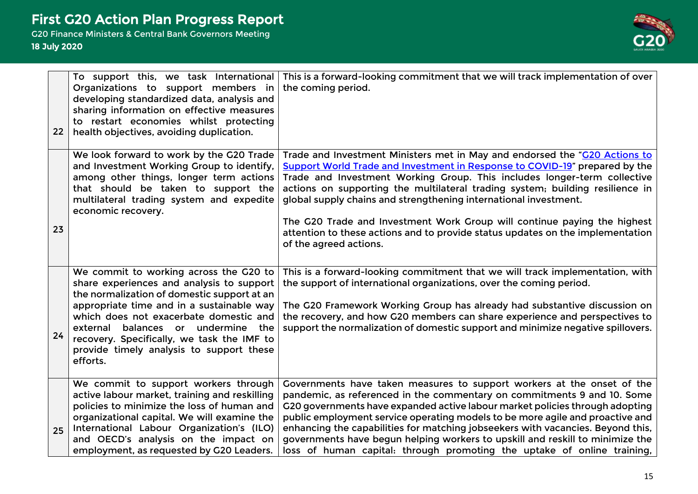

| 22 | To support this, we task International<br>Organizations to support members in<br>developing standardized data, analysis and<br>sharing information on effective measures<br>to restart economies whilst protecting<br>health objectives, avoiding duplication. | This is a forward-looking commitment that we will track implementation of over<br>the coming period.                                                                                                                                                                                                                                                                                       |
|----|----------------------------------------------------------------------------------------------------------------------------------------------------------------------------------------------------------------------------------------------------------------|--------------------------------------------------------------------------------------------------------------------------------------------------------------------------------------------------------------------------------------------------------------------------------------------------------------------------------------------------------------------------------------------|
|    | We look forward to work by the G20 Trade<br>and Investment Working Group to identify,<br>among other things, longer term actions<br>that should be taken to support the<br>multilateral trading system and expedite<br>economic recovery.                      | Trade and Investment Ministers met in May and endorsed the "G20 Actions to<br>Support World Trade and Investment in Response to COVID-19" prepared by the<br>Trade and Investment Working Group. This includes longer-term collective<br>actions on supporting the multilateral trading system; building resilience in<br>global supply chains and strengthening international investment. |
| 23 |                                                                                                                                                                                                                                                                | The G20 Trade and Investment Work Group will continue paying the highest<br>attention to these actions and to provide status updates on the implementation<br>of the agreed actions.                                                                                                                                                                                                       |
|    | We commit to working across the G20 to<br>share experiences and analysis to support<br>the normalization of domestic support at an                                                                                                                             | This is a forward-looking commitment that we will track implementation, with<br>the support of international organizations, over the coming period.                                                                                                                                                                                                                                        |
| 24 | appropriate time and in a sustainable way<br>which does not exacerbate domestic and<br>balances or undermine the<br>external<br>recovery. Specifically, we task the IMF to<br>provide timely analysis to support these<br>efforts.                             | The G20 Framework Working Group has already had substantive discussion on<br>the recovery, and how G20 members can share experience and perspectives to<br>support the normalization of domestic support and minimize negative spillovers.                                                                                                                                                 |
|    | We commit to support workers through<br>active labour market, training and reskilling<br>policies to minimize the loss of human and                                                                                                                            | Governments have taken measures to support workers at the onset of the<br>pandemic, as referenced in the commentary on commitments 9 and 10. Some<br>G20 governments have expanded active labour market policies through adopting                                                                                                                                                          |
| 25 | organizational capital. We will examine the<br>International Labour Organization's (ILO)<br>and OECD's analysis on the impact on<br>employment, as requested by G20 Leaders.                                                                                   | public employment service operating models to be more agile and proactive and<br>enhancing the capabilities for matching jobseekers with vacancies. Beyond this,<br>governments have begun helping workers to upskill and reskill to minimize the<br>loss of human capital: through promoting the uptake of online training,                                                               |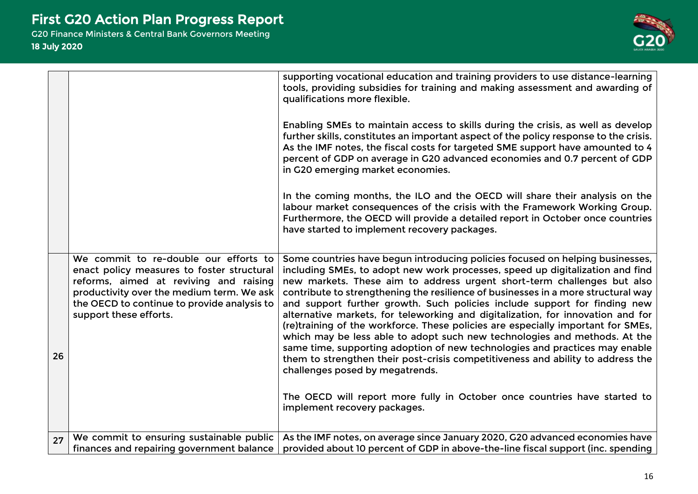First G20 Action Plan Progress Report



|    |                                                                                                                                                                                                                                                     | supporting vocational education and training providers to use distance-learning<br>tools, providing subsidies for training and making assessment and awarding of<br>qualifications more flexible.                                                                                                                                                                                                                                                                                                                                                                                                                                                                                                                                                                                                                                                                                                                                                 |
|----|-----------------------------------------------------------------------------------------------------------------------------------------------------------------------------------------------------------------------------------------------------|---------------------------------------------------------------------------------------------------------------------------------------------------------------------------------------------------------------------------------------------------------------------------------------------------------------------------------------------------------------------------------------------------------------------------------------------------------------------------------------------------------------------------------------------------------------------------------------------------------------------------------------------------------------------------------------------------------------------------------------------------------------------------------------------------------------------------------------------------------------------------------------------------------------------------------------------------|
|    |                                                                                                                                                                                                                                                     | Enabling SMEs to maintain access to skills during the crisis, as well as develop<br>further skills, constitutes an important aspect of the policy response to the crisis.<br>As the IMF notes, the fiscal costs for targeted SME support have amounted to 4<br>percent of GDP on average in G20 advanced economies and 0.7 percent of GDP<br>in G20 emerging market economies.                                                                                                                                                                                                                                                                                                                                                                                                                                                                                                                                                                    |
|    |                                                                                                                                                                                                                                                     | In the coming months, the ILO and the OECD will share their analysis on the<br>labour market consequences of the crisis with the Framework Working Group.<br>Furthermore, the OECD will provide a detailed report in October once countries<br>have started to implement recovery packages.                                                                                                                                                                                                                                                                                                                                                                                                                                                                                                                                                                                                                                                       |
| 26 | We commit to re-double our efforts to<br>enact policy measures to foster structural<br>reforms, aimed at reviving and raising<br>productivity over the medium term. We ask<br>the OECD to continue to provide analysis to<br>support these efforts. | Some countries have begun introducing policies focused on helping businesses,<br>including SMEs, to adopt new work processes, speed up digitalization and find<br>new markets. These aim to address urgent short-term challenges but also<br>contribute to strengthening the resilience of businesses in a more structural way<br>and support further growth. Such policies include support for finding new<br>alternative markets, for teleworking and digitalization, for innovation and for<br>(re)training of the workforce. These policies are especially important for SMEs,<br>which may be less able to adopt such new technologies and methods. At the<br>same time, supporting adoption of new technologies and practices may enable<br>them to strengthen their post-crisis competitiveness and ability to address the<br>challenges posed by megatrends.<br>The OECD will report more fully in October once countries have started to |
|    |                                                                                                                                                                                                                                                     | implement recovery packages.                                                                                                                                                                                                                                                                                                                                                                                                                                                                                                                                                                                                                                                                                                                                                                                                                                                                                                                      |
| 27 | We commit to ensuring sustainable public<br>finances and repairing government balance                                                                                                                                                               | As the IMF notes, on average since January 2020, G20 advanced economies have<br>provided about 10 percent of GDP in above-the-line fiscal support (inc. spending                                                                                                                                                                                                                                                                                                                                                                                                                                                                                                                                                                                                                                                                                                                                                                                  |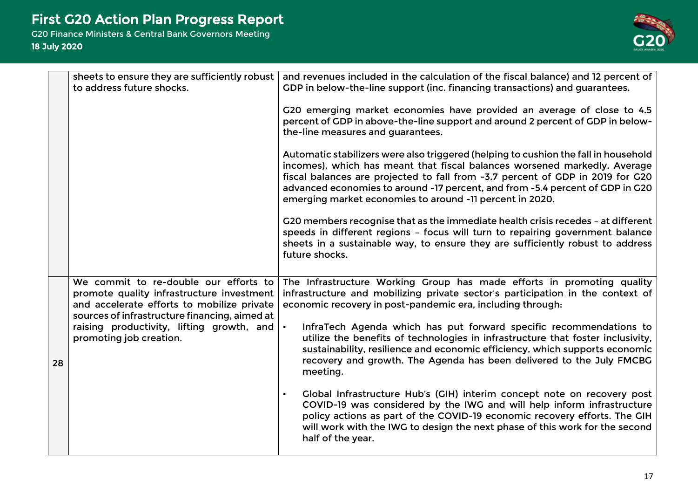

|    | sheets to ensure they are sufficiently robust<br>to address future shocks.                                                                                                                                                                                | and revenues included in the calculation of the fiscal balance) and 12 percent of<br>GDP in below-the-line support (inc. financing transactions) and guarantees.<br>G20 emerging market economies have provided an average of close to 4.5<br>percent of GDP in above-the-line support and around 2 percent of GDP in below-<br>the-line measures and guarantees.<br>Automatic stabilizers were also triggered (helping to cushion the fall in household<br>incomes), which has meant that fiscal balances worsened markedly. Average<br>fiscal balances are projected to fall from -3.7 percent of GDP in 2019 for G20<br>advanced economies to around -17 percent, and from -5.4 percent of GDP in G20<br>emerging market economies to around -11 percent in 2020.<br>G20 members recognise that as the immediate health crisis recedes - at different<br>speeds in different regions - focus will turn to repairing government balance |
|----|-----------------------------------------------------------------------------------------------------------------------------------------------------------------------------------------------------------------------------------------------------------|-------------------------------------------------------------------------------------------------------------------------------------------------------------------------------------------------------------------------------------------------------------------------------------------------------------------------------------------------------------------------------------------------------------------------------------------------------------------------------------------------------------------------------------------------------------------------------------------------------------------------------------------------------------------------------------------------------------------------------------------------------------------------------------------------------------------------------------------------------------------------------------------------------------------------------------------|
|    |                                                                                                                                                                                                                                                           | sheets in a sustainable way, to ensure they are sufficiently robust to address<br>future shocks.                                                                                                                                                                                                                                                                                                                                                                                                                                                                                                                                                                                                                                                                                                                                                                                                                                          |
| 28 | We commit to re-double our efforts to<br>promote quality infrastructure investment<br>and accelerate efforts to mobilize private<br>sources of infrastructure financing, aimed at<br>raising productivity, lifting growth, and<br>promoting job creation. | The Infrastructure Working Group has made efforts in promoting quality<br>infrastructure and mobilizing private sector's participation in the context of<br>economic recovery in post-pandemic era, including through:<br>InfraTech Agenda which has put forward specific recommendations to<br>utilize the benefits of technologies in infrastructure that foster inclusivity,<br>sustainability, resilience and economic efficiency, which supports economic<br>recovery and growth. The Agenda has been delivered to the July FMCBG<br>meeting.                                                                                                                                                                                                                                                                                                                                                                                        |
|    |                                                                                                                                                                                                                                                           | Global Infrastructure Hub's (GIH) interim concept note on recovery post<br>COVID-19 was considered by the IWG and will help inform infrastructure<br>policy actions as part of the COVID-19 economic recovery efforts. The GIH<br>will work with the IWG to design the next phase of this work for the second<br>half of the year.                                                                                                                                                                                                                                                                                                                                                                                                                                                                                                                                                                                                        |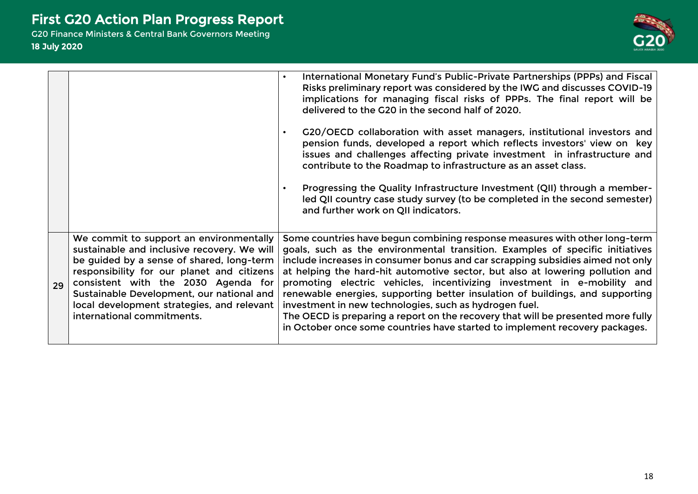First G20 Action Plan Progress Report



|    |                                                                                                                                                                                                                                                                                                                                                   | International Monetary Fund's Public-Private Partnerships (PPPs) and Fiscal<br>Risks preliminary report was considered by the IWG and discusses COVID-19<br>implications for managing fiscal risks of PPPs. The final report will be<br>delivered to the G20 in the second half of 2020.<br>G20/OECD collaboration with asset managers, institutional investors and                                                                                                                                                                                                                                                                                                                                                     |
|----|---------------------------------------------------------------------------------------------------------------------------------------------------------------------------------------------------------------------------------------------------------------------------------------------------------------------------------------------------|-------------------------------------------------------------------------------------------------------------------------------------------------------------------------------------------------------------------------------------------------------------------------------------------------------------------------------------------------------------------------------------------------------------------------------------------------------------------------------------------------------------------------------------------------------------------------------------------------------------------------------------------------------------------------------------------------------------------------|
|    |                                                                                                                                                                                                                                                                                                                                                   | pension funds, developed a report which reflects investors' view on key<br>issues and challenges affecting private investment in infrastructure and<br>contribute to the Roadmap to infrastructure as an asset class.                                                                                                                                                                                                                                                                                                                                                                                                                                                                                                   |
|    |                                                                                                                                                                                                                                                                                                                                                   | Progressing the Quality Infrastructure Investment (QII) through a member-<br>led QII country case study survey (to be completed in the second semester)<br>and further work on QII indicators.                                                                                                                                                                                                                                                                                                                                                                                                                                                                                                                          |
| 29 | We commit to support an environmentally<br>sustainable and inclusive recovery. We will<br>be guided by a sense of shared, long-term<br>responsibility for our planet and citizens<br>consistent with the 2030 Agenda for<br>Sustainable Development, our national and<br>local development strategies, and relevant<br>international commitments. | Some countries have begun combining response measures with other long-term<br>goals, such as the environmental transition. Examples of specific initiatives<br>include increases in consumer bonus and car scrapping subsidies aimed not only<br>at helping the hard-hit automotive sector, but also at lowering pollution and<br>promoting electric vehicles, incentivizing investment in e-mobility and<br>renewable energies, supporting better insulation of buildings, and supporting<br>investment in new technologies, such as hydrogen fuel.<br>The OECD is preparing a report on the recovery that will be presented more fully<br>in October once some countries have started to implement recovery packages. |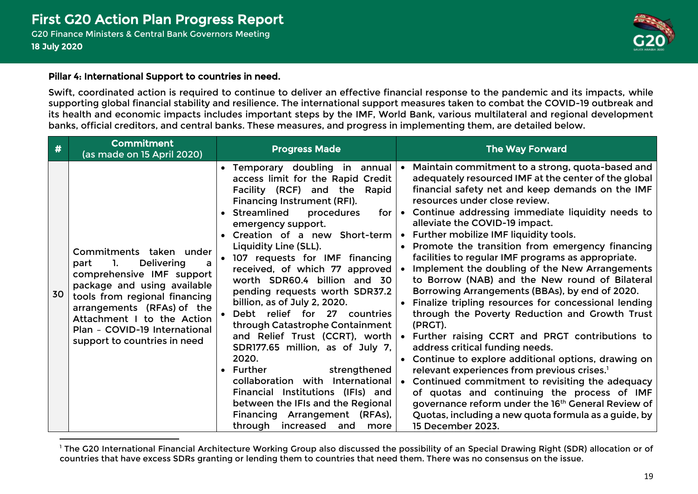

#### Pillar 4: International Support to countries in need.

Swift, coordinated action is required to continue to deliver an effective financial response to the pandemic and its impacts, while supporting global financial stability and resilience. The international support measures taken to combat the COVID-19 outbreak and its health and economic impacts includes important steps by the IMF, World Bank, various multilateral and regional development banks, official creditors, and central banks. These measures, and progress in implementing them, are detailed below.

| #  | <b>Commitment</b><br>(as made on 15 April 2020)                                                                                                                                                                                                                                           | <b>Progress Made</b>                                                                                                                                                                                                                                                                                                                                                                                                                                                                                                                                                                                                                                                                                                                                                                               | <b>The Way Forward</b>                                                                                                                                                                                                                                                                                                                                                                                                                                                                                                                                                                                                                                                                                                                                                                                                                                                                                                                                                                                                                                                                                                                                                                            |
|----|-------------------------------------------------------------------------------------------------------------------------------------------------------------------------------------------------------------------------------------------------------------------------------------------|----------------------------------------------------------------------------------------------------------------------------------------------------------------------------------------------------------------------------------------------------------------------------------------------------------------------------------------------------------------------------------------------------------------------------------------------------------------------------------------------------------------------------------------------------------------------------------------------------------------------------------------------------------------------------------------------------------------------------------------------------------------------------------------------------|---------------------------------------------------------------------------------------------------------------------------------------------------------------------------------------------------------------------------------------------------------------------------------------------------------------------------------------------------------------------------------------------------------------------------------------------------------------------------------------------------------------------------------------------------------------------------------------------------------------------------------------------------------------------------------------------------------------------------------------------------------------------------------------------------------------------------------------------------------------------------------------------------------------------------------------------------------------------------------------------------------------------------------------------------------------------------------------------------------------------------------------------------------------------------------------------------|
| 30 | Commitments taken under<br><b>Delivering</b><br>1.<br>part<br>a<br>comprehensive IMF support<br>package and using available<br>tools from regional financing<br>arrangements (RFAs) of the<br>Attachment I to the Action<br>Plan - COVID-19 International<br>support to countries in need | • Temporary doubling in annual<br>access limit for the Rapid Credit<br>Facility (RCF) and the<br>Rapid<br>Financing Instrument (RFI).<br>• Streamlined<br>procedures<br>for<br>emergency support.<br>Creation of a new Short-term<br>Liquidity Line (SLL).<br>107 requests for IMF financing<br>received, of which 77 approved<br>worth SDR60.4 billion and 30<br>pending requests worth SDR37.2<br>billion, as of July 2, 2020.<br>Debt relief for 27 countries<br>through Catastrophe Containment<br>and Relief Trust (CCRT), worth<br>SDR177.65 million, as of July 7,<br>2020.<br>• Further<br>strengthened<br>collaboration with International<br>Financial Institutions (IFIs) and<br>between the IFIs and the Regional<br>Financing Arrangement (RFAs),<br>through increased<br>and<br>more | Maintain commitment to a strong, quota-based and<br>$\bullet$<br>adequately resourced IMF at the center of the global<br>financial safety net and keep demands on the IMF<br>resources under close review.<br>Continue addressing immediate liquidity needs to<br>$\bullet$<br>alleviate the COVID-19 impact.<br>Further mobilize IMF liquidity tools.<br>Promote the transition from emergency financing<br>facilities to regular IMF programs as appropriate.<br>Implement the doubling of the New Arrangements<br>to Borrow (NAB) and the New round of Bilateral<br>Borrowing Arrangements (BBAs), by end of 2020.<br>Finalize tripling resources for concessional lending<br>through the Poverty Reduction and Growth Trust<br>(PRGT).<br>Further raising CCRT and PRGT contributions to<br>address critical funding needs.<br>Continue to explore additional options, drawing on<br>relevant experiences from previous crises. <sup>1</sup><br>Continued commitment to revisiting the adequacy<br>of quotas and continuing the process of IMF<br>governance reform under the 16 <sup>th</sup> General Review of<br>Quotas, including a new quota formula as a guide, by<br>15 December 2023. |

<sup>&</sup>lt;sup>1</sup> The G20 International Financial Architecture Working Group also discussed the possibility of an Special Drawing Right (SDR) allocation or of countries that have excess SDRs granting or lending them to countries that need them. There was no consensus on the issue.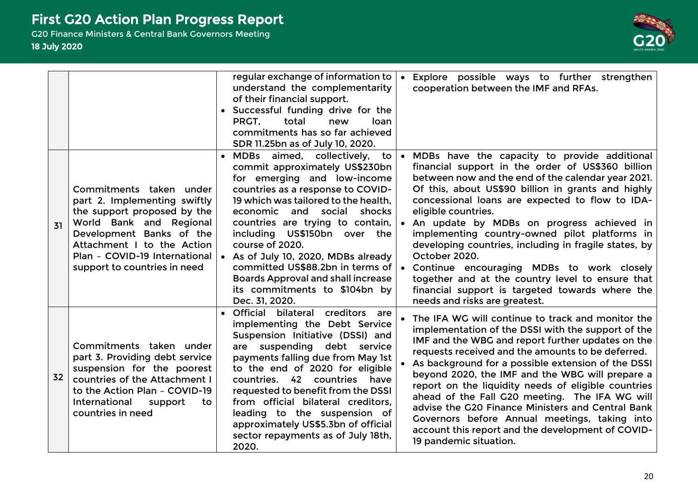

| 31 | Commitments taken under<br>part 2. Implementing swiftly<br>the support proposed by the<br>World Bank and Regional<br>Development Banks of the<br>Attachment I to the Action                                      | regular exchange of information to<br>understand the complementarity<br>of their financial support.<br>• Successful funding drive for the<br>PRGT.<br>total<br>new<br>loan<br>commitments has so far achieved<br>SDR 11.25bn as of July 10, 2020.<br>• MDBs aimed, collectively,<br>to<br>commit approximately US\$230bn<br>for emerging and low-income<br>countries as a response to COVID-<br>19 which was tailored to the health,<br>and social shocks<br>economic<br>countries are trying to contain,<br>including US\$150bn over the<br>course of 2020. | Explore possible ways to further strengthen<br>$\bullet$<br>cooperation between the IMF and RFAs.<br>MDBs have the capacity to provide additional<br>$\bullet$<br>financial support in the order of US\$360 billion<br>between now and the end of the calendar year 2021.<br>Of this, about US\$90 billion in grants and highly<br>concessional loans are expected to flow to IDA-<br>eligible countries.<br>• An update by MDBs on progress achieved in<br>implementing country-owned pilot platforms in<br>developing countries, including in fragile states, by                                                       |
|----|------------------------------------------------------------------------------------------------------------------------------------------------------------------------------------------------------------------|--------------------------------------------------------------------------------------------------------------------------------------------------------------------------------------------------------------------------------------------------------------------------------------------------------------------------------------------------------------------------------------------------------------------------------------------------------------------------------------------------------------------------------------------------------------|--------------------------------------------------------------------------------------------------------------------------------------------------------------------------------------------------------------------------------------------------------------------------------------------------------------------------------------------------------------------------------------------------------------------------------------------------------------------------------------------------------------------------------------------------------------------------------------------------------------------------|
|    | Plan - COVID-19 International<br>support to countries in need                                                                                                                                                    | • As of July 10, 2020, MDBs already<br>committed US\$88.2bn in terms of<br><b>Boards Approval and shall increase</b><br>its commitments to \$104bn by<br>Dec. 31, 2020.                                                                                                                                                                                                                                                                                                                                                                                      | October 2020.<br>• Continue encouraging MDBs to work closely<br>together and at the country level to ensure that<br>financial support is targeted towards where the<br>needs and risks are greatest.                                                                                                                                                                                                                                                                                                                                                                                                                     |
| 32 | Commitments taken under<br>part 3. Providing debt service<br>suspension for the poorest<br>countries of the Attachment I<br>to the Action Plan - COVID-19<br>International<br>support<br>to<br>countries in need | · Official bilateral creditors<br>are<br>implementing the Debt Service<br>Suspension Initiative (DSSI) and<br>are suspending debt service<br>payments falling due from May 1st<br>to the end of 2020 for eligible<br>countries. 42 countries have<br>requested to benefit from the DSSI<br>from official bilateral creditors,<br>leading to the suspension of<br>approximately US\$5.3bn of official<br>sector repayments as of July 18th,<br>2020.                                                                                                          | The IFA WG will continue to track and monitor the<br>implementation of the DSSI with the support of the<br>IMF and the WBG and report further updates on the<br>requests received and the amounts to be deferred.<br>As background for a possible extension of the DSSI<br>beyond 2020, the IMF and the WBG will prepare a<br>report on the liquidity needs of eligible countries<br>ahead of the Fall G20 meeting. The IFA WG will<br>advise the G20 Finance Ministers and Central Bank<br>Governors before Annual meetings, taking into<br>account this report and the development of COVID-<br>19 pandemic situation. |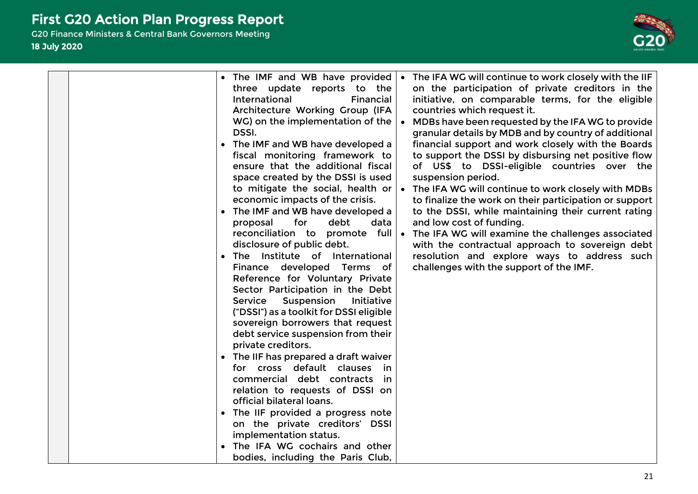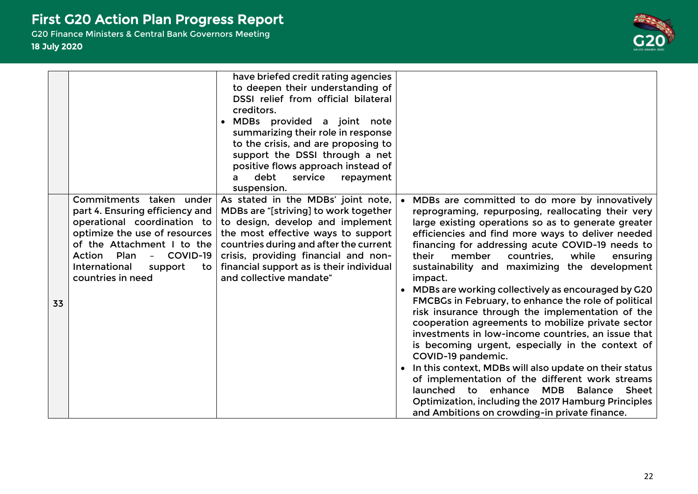

|    |                                                                                                                                                                                                                                                           | have briefed credit rating agencies<br>to deepen their understanding of<br>DSSI relief from official bilateral<br>creditors.<br>MDBs provided a joint note<br>$\bullet$<br>summarizing their role in response<br>to the crisis, and are proposing to<br>support the DSSI through a net<br>positive flows approach instead of<br>debt<br>service<br>repayment<br>a<br>suspension. |                                                                                                                                                                                                                                                                                                                                                                                                                                                                                                                                                                                                                                                                                                                                                                                                                                                                                                                                                                                                                                   |
|----|-----------------------------------------------------------------------------------------------------------------------------------------------------------------------------------------------------------------------------------------------------------|----------------------------------------------------------------------------------------------------------------------------------------------------------------------------------------------------------------------------------------------------------------------------------------------------------------------------------------------------------------------------------|-----------------------------------------------------------------------------------------------------------------------------------------------------------------------------------------------------------------------------------------------------------------------------------------------------------------------------------------------------------------------------------------------------------------------------------------------------------------------------------------------------------------------------------------------------------------------------------------------------------------------------------------------------------------------------------------------------------------------------------------------------------------------------------------------------------------------------------------------------------------------------------------------------------------------------------------------------------------------------------------------------------------------------------|
| 33 | Commitments taken under<br>part 4. Ensuring efficiency and<br>operational coordination to<br>optimize the use of resources<br>of the Attachment I to the<br>Plan<br>COVID-19<br>Action<br>$\equiv$<br>International<br>support<br>to<br>countries in need | As stated in the MDBs' joint note,<br>MDBs are "[striving] to work together<br>to design, develop and implement<br>the most effective ways to support<br>countries during and after the current<br>crisis, providing financial and non-<br>financial support as is their individual<br>and collective mandate"                                                                   | MDBs are committed to do more by innovatively<br>reprograming, repurposing, reallocating their very<br>large existing operations so as to generate greater<br>efficiencies and find more ways to deliver needed<br>financing for addressing acute COVID-19 needs to<br>member<br>while<br>their<br>countries.<br>ensuring<br>sustainability and maximizing the development<br>impact.<br>MDBs are working collectively as encouraged by G20<br>FMCBGs in February, to enhance the role of political<br>risk insurance through the implementation of the<br>cooperation agreements to mobilize private sector<br>investments in low-income countries, an issue that<br>is becoming urgent, especially in the context of<br>COVID-19 pandemic.<br>In this context, MDBs will also update on their status<br>of implementation of the different work streams<br>launched to enhance<br><b>MDB</b><br><b>Balance</b><br>Sheet<br>Optimization, including the 2017 Hamburg Principles<br>and Ambitions on crowding-in private finance. |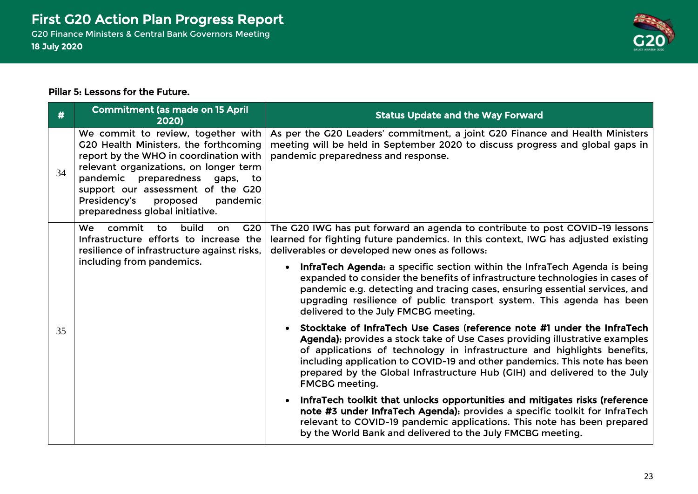

#### Pillar 5: Lessons for the Future.

|    | <b>Commitment (as made on 15 April</b><br>2020)                                                                                                                                                                                                                                                                   | <b>Status Update and the Way Forward</b>                                                                                                                                                                                                                                                                                                                                                                              |  |
|----|-------------------------------------------------------------------------------------------------------------------------------------------------------------------------------------------------------------------------------------------------------------------------------------------------------------------|-----------------------------------------------------------------------------------------------------------------------------------------------------------------------------------------------------------------------------------------------------------------------------------------------------------------------------------------------------------------------------------------------------------------------|--|
| 34 | We commit to review, together with<br>G20 Health Ministers, the forthcoming<br>report by the WHO in coordination with<br>relevant organizations, on longer term<br>pandemic preparedness gaps, to<br>support our assessment of the G20<br>Presidency's<br>proposed<br>pandemic<br>preparedness global initiative. | As per the G20 Leaders' commitment, a joint G20 Finance and Health Ministers<br>meeting will be held in September 2020 to discuss progress and global gaps in<br>pandemic preparedness and response.                                                                                                                                                                                                                  |  |
| 35 | commit to<br>build<br>G <sub>20</sub><br><b>We</b><br>on<br>Infrastructure efforts to increase the<br>resilience of infrastructure against risks,<br>including from pandemics.                                                                                                                                    | The G20 IWG has put forward an agenda to contribute to post COVID-19 lessons<br>learned for fighting future pandemics. In this context, IWG has adjusted existing<br>deliverables or developed new ones as follows:                                                                                                                                                                                                   |  |
|    |                                                                                                                                                                                                                                                                                                                   | InfraTech Agenda: a specific section within the InfraTech Agenda is being<br>$\bullet$<br>expanded to consider the benefits of infrastructure technologies in cases of<br>pandemic e.g. detecting and tracing cases, ensuring essential services, and<br>upgrading resilience of public transport system. This agenda has been<br>delivered to the July FMCBG meeting.                                                |  |
|    |                                                                                                                                                                                                                                                                                                                   | Stocktake of InfraTech Use Cases (reference note #1 under the InfraTech<br>Agenda): provides a stock take of Use Cases providing illustrative examples<br>of applications of technology in infrastructure and highlights benefits,<br>including application to COVID-19 and other pandemics. This note has been<br>prepared by the Global Infrastructure Hub (GIH) and delivered to the July<br><b>FMCBG</b> meeting. |  |
|    |                                                                                                                                                                                                                                                                                                                   | InfraTech toolkit that unlocks opportunities and mitigates risks (reference<br>$\bullet$<br>note #3 under InfraTech Agenda): provides a specific toolkit for InfraTech<br>relevant to COVID-19 pandemic applications. This note has been prepared<br>by the World Bank and delivered to the July FMCBG meeting.                                                                                                       |  |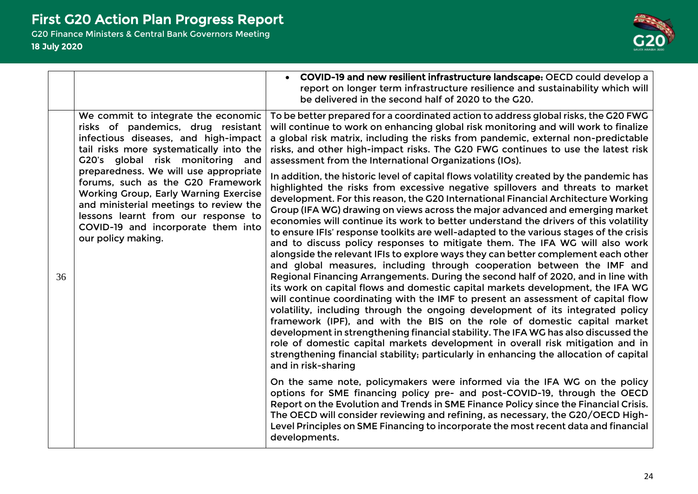

|    |                                                                                                                                                                                                                                                                                                                                                                                                                                                                             | • COVID-19 and new resilient infrastructure landscape: OECD could develop a<br>report on longer term infrastructure resilience and sustainability which will<br>be delivered in the second half of 2020 to the G20.                                                                                                                                                                                                                                                                                                                                                                                                                                                                                                                                                                                                                                                                                                                                                                                                                                                                                                                                                                                                                                                                                                                                                                                                                                                                                 |
|----|-----------------------------------------------------------------------------------------------------------------------------------------------------------------------------------------------------------------------------------------------------------------------------------------------------------------------------------------------------------------------------------------------------------------------------------------------------------------------------|-----------------------------------------------------------------------------------------------------------------------------------------------------------------------------------------------------------------------------------------------------------------------------------------------------------------------------------------------------------------------------------------------------------------------------------------------------------------------------------------------------------------------------------------------------------------------------------------------------------------------------------------------------------------------------------------------------------------------------------------------------------------------------------------------------------------------------------------------------------------------------------------------------------------------------------------------------------------------------------------------------------------------------------------------------------------------------------------------------------------------------------------------------------------------------------------------------------------------------------------------------------------------------------------------------------------------------------------------------------------------------------------------------------------------------------------------------------------------------------------------------|
| 36 | We commit to integrate the economic<br>risks of pandemics, drug resistant<br>infectious diseases, and high-impact<br>tail risks more systematically into the<br>G20's global risk monitoring and<br>preparedness. We will use appropriate<br>forums, such as the G20 Framework<br><b>Working Group, Early Warning Exercise</b><br>and ministerial meetings to review the<br>lessons learnt from our response to<br>COVID-19 and incorporate them into<br>our policy making. | To be better prepared for a coordinated action to address global risks, the G20 FWG<br>will continue to work on enhancing global risk monitoring and will work to finalize<br>a global risk matrix, including the risks from pandemic, external non-predictable<br>risks, and other high-impact risks. The G20 FWG continues to use the latest risk<br>assessment from the International Organizations (IOs).                                                                                                                                                                                                                                                                                                                                                                                                                                                                                                                                                                                                                                                                                                                                                                                                                                                                                                                                                                                                                                                                                       |
|    |                                                                                                                                                                                                                                                                                                                                                                                                                                                                             | In addition, the historic level of capital flows volatility created by the pandemic has<br>highlighted the risks from excessive negative spillovers and threats to market<br>development. For this reason, the G20 International Financial Architecture Working<br>Group (IFA WG) drawing on views across the major advanced and emerging market<br>economies will continue its work to better understand the drivers of this volatility<br>to ensure IFIs' response toolkits are well-adapted to the various stages of the crisis<br>and to discuss policy responses to mitigate them. The IFA WG will also work<br>alongside the relevant IFIs to explore ways they can better complement each other<br>and global measures, including through cooperation between the IMF and<br>Regional Financing Arrangements. During the second half of 2020, and in line with<br>its work on capital flows and domestic capital markets development, the IFA WG<br>will continue coordinating with the IMF to present an assessment of capital flow<br>volatility, including through the ongoing development of its integrated policy<br>framework (IPF), and with the BIS on the role of domestic capital market<br>development in strengthening financial stability. The IFA WG has also discussed the<br>role of domestic capital markets development in overall risk mitigation and in<br>strengthening financial stability; particularly in enhancing the allocation of capital<br>and in risk-sharing |
|    |                                                                                                                                                                                                                                                                                                                                                                                                                                                                             | On the same note, policymakers were informed via the IFA WG on the policy<br>options for SME financing policy pre- and post-COVID-19, through the OECD<br>Report on the Evolution and Trends in SME Finance Policy since the Financial Crisis.<br>The OECD will consider reviewing and refining, as necessary, the G20/OECD High-<br>Level Principles on SME Financing to incorporate the most recent data and financial<br>developments.                                                                                                                                                                                                                                                                                                                                                                                                                                                                                                                                                                                                                                                                                                                                                                                                                                                                                                                                                                                                                                                           |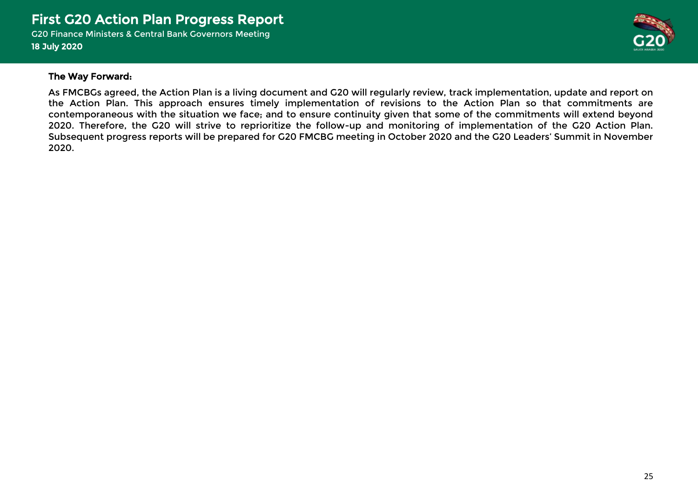

#### The Way Forward:

As FMCBGs agreed, the Action Plan is a living document and G20 will regularly review, track implementation, update and report on the Action Plan. This approach ensures timely implementation of revisions to the Action Plan so that commitments are contemporaneous with the situation we face; and to ensure continuity given that some of the commitments will extend beyond 2020. Therefore, the G20 will strive to reprioritize the follow-up and monitoring of implementation of the G20 Action Plan. Subsequent progress reports will be prepared for G20 FMCBG meeting in October 2020 and the G20 Leaders' Summit in November 2020.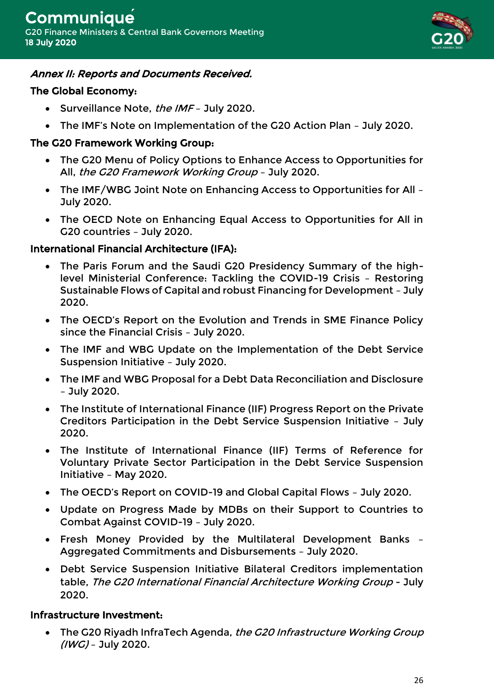

# Annex II: Reports and Documents Received.

# The Global Economy:

- Surveillance Note, the IMF July 2020.
- The IMF's Note on Implementation of the G20 Action Plan July 2020.

# The G20 Framework Working Group:

- The G20 Menu of Policy Options to Enhance Access to Opportunities for All, the G20 Framework Working Group – July 2020.
- The IMF/WBG Joint Note on Enhancing Access to Opportunities for All July 2020.
- The OECD Note on Enhancing Equal Access to Opportunities for All in G20 countries – July 2020.

# International Financial Architecture (IFA):

- The Paris Forum and the Saudi G20 Presidency Summary of the highlevel Ministerial Conference: Tackling the COVID-19 Crisis – Restoring Sustainable Flows of Capital and robust Financing for Development – July 2020.
- The OECD's Report on the Evolution and Trends in SME Finance Policy since the Financial Crisis – July 2020.
- The IMF and WBG Update on the Implementation of the Debt Service Suspension Initiative – July 2020.
- The IMF and WBG Proposal for a Debt Data Reconciliation and Disclosure – July 2020.
- The Institute of International Finance (IIF) Progress Report on the Private Creditors Participation in the Debt Service Suspension Initiative – July 2020.
- The Institute of International Finance (IIF) Terms of Reference for Voluntary Private Sector Participation in the Debt Service Suspension Initiative – May 2020.
- The OECD's Report on COVID-19 and Global Capital Flows July 2020.
- Update on Progress Made by MDBs on their Support to Countries to Combat Against COVID-19 – July 2020.
- Fresh Money Provided by the Multilateral Development Banks Aggregated Commitments and Disbursements – July 2020.
- Debt Service Suspension Initiative Bilateral Creditors implementation table, The G20 International Financial Architecture Working Group - July 2020.

## Infrastructure Investment:

• The G20 Riyadh InfraTech Agenda, the G20 Infrastructure Working Group  $(IVG)$  – July 2020.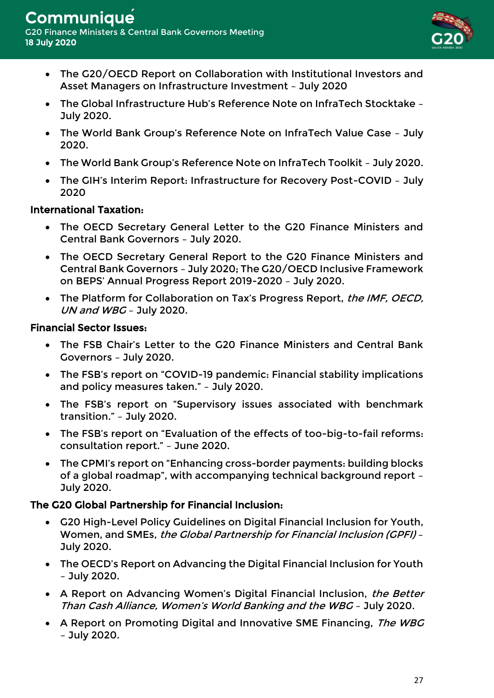

- The G20/OECD Report on Collaboration with Institutional Investors and Asset Managers on Infrastructure Investment – July 2020
- The Global Infrastructure Hub's Reference Note on InfraTech Stocktake July 2020.
- The World Bank Group's Reference Note on InfraTech Value Case July 2020.
- The World Bank Group's Reference Note on InfraTech Toolkit July 2020.
- The GIH's Interim Report: Infrastructure for Recovery Post-COVID July 2020

### International Taxation:

- The OECD Secretary General Letter to the G20 Finance Ministers and Central Bank Governors – July 2020.
- The OECD Secretary General Report to the G20 Finance Ministers and Central Bank Governors – July 2020; The G20/OECD Inclusive Framework on BEPS' Annual Progress Report 2019-2020 – July 2020.
- The Platform for Collaboration on Tax's Progress Report, the IMF, OECD, UN and WBG – July 2020.

### Financial Sector Issues:

- The FSB Chair's Letter to the G20 Finance Ministers and Central Bank Governors – July 2020.
- The FSB's report on "COVID-19 pandemic: Financial stability implications and policy measures taken." – July 2020.
- The FSB's report on "Supervisory issues associated with benchmark transition." – July 2020.
- The FSB's report on "Evaluation of the effects of too-big-to-fail reforms: consultation report." – June 2020.
- The CPMI's report on "Enhancing cross-border payments: building blocks of a global roadmap", with accompanying technical background report – July 2020.

## The G20 Global Partnership for Financial Inclusion:

- G20 High-Level Policy Guidelines on Digital Financial Inclusion for Youth, Women, and SMEs, the Global Partnership for Financial Inclusion (GPFI) – July 2020.
- The OECD's Report on Advancing the Digital Financial Inclusion for Youth – July 2020.
- A Report on Advancing Women's Digital Financial Inclusion, the Better Than Cash Alliance, Women's World Banking and the WBG – July 2020.
- A Report on Promoting Digital and Innovative SME Financing, The WBG – July 2020.